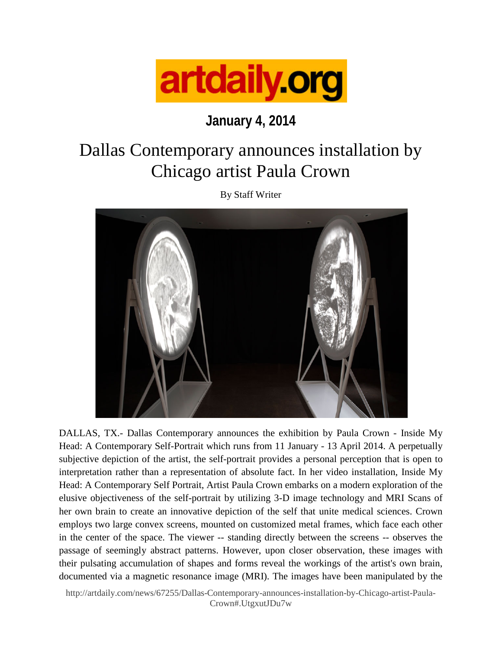

## **January 4, 2014**

## Dallas Contemporary announces installation by Chicago artist Paula Crown

By Staff Writer



DALLAS, TX.- Dallas Contemporary announces the exhibition by Paula Crown - Inside My Head: A Contemporary Self-Portrait which runs from 11 January - 13 April 2014. A perpetually subjective depiction of the artist, the self-portrait provides a personal perception that is open to interpretation rather than a representation of absolute fact. In her video installation, Inside My Head: A Contemporary Self Portrait, Artist Paula Crown embarks on a modern exploration of the elusive objectiveness of the self-portrait by utilizing 3-D image technology and MRI Scans of her own brain to create an innovative depiction of the self that unite medical sciences. Crown employs two large convex screens, mounted on customized metal frames, which face each other in the center of the space. The viewer -- standing directly between the screens -- observes the passage of seemingly abstract patterns. However, upon closer observation, these images with their pulsating accumulation of shapes and forms reveal the workings of the artist's own brain, documented via a magnetic resonance image (MRI). The images have been manipulated by the

[http://artdaily.com/news/67255/Dallas-Contemporary-announces-installation-by-Chicago-artist-Paula-](http://artdaily.com/news/67255/Dallas-Contemporary-announces-installation-by-Chicago-artist-Paula-Crown#.UtgxutJDu7w)[Crown#.UtgxutJDu7w](http://artdaily.com/news/67255/Dallas-Contemporary-announces-installation-by-Chicago-artist-Paula-Crown#.UtgxutJDu7w)